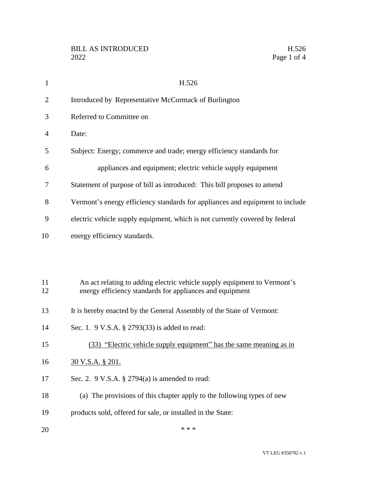| $\mathbf{1}$   | H.526                                                                                                                                |
|----------------|--------------------------------------------------------------------------------------------------------------------------------------|
| $\overline{2}$ | Introduced by Representative McCormack of Burlington                                                                                 |
| 3              | Referred to Committee on                                                                                                             |
| 4              | Date:                                                                                                                                |
| 5              | Subject: Energy; commerce and trade; energy efficiency standards for                                                                 |
| 6              | appliances and equipment; electric vehicle supply equipment                                                                          |
| 7              | Statement of purpose of bill as introduced: This bill proposes to amend                                                              |
| 8              | Vermont's energy efficiency standards for appliances and equipment to include                                                        |
| 9              | electric vehicle supply equipment, which is not currently covered by federal                                                         |
| 10             | energy efficiency standards.                                                                                                         |
|                |                                                                                                                                      |
|                |                                                                                                                                      |
| 11<br>12       | An act relating to adding electric vehicle supply equipment to Vermont's<br>energy efficiency standards for appliances and equipment |
| 13             | It is hereby enacted by the General Assembly of the State of Vermont:                                                                |
| 14             | Sec. 1. 9 V.S.A. § 2793(33) is added to read:                                                                                        |
| 15             | (33) "Electric vehicle supply equipment" has the same meaning as in                                                                  |
| 16             | <u>30 V.S.A. § 201.</u>                                                                                                              |
| 17             | Sec. 2. 9 V.S.A. § 2794(a) is amended to read:                                                                                       |
| 18             | (a) The provisions of this chapter apply to the following types of new                                                               |
| 19             | products sold, offered for sale, or installed in the State:                                                                          |
| 20             | * * *                                                                                                                                |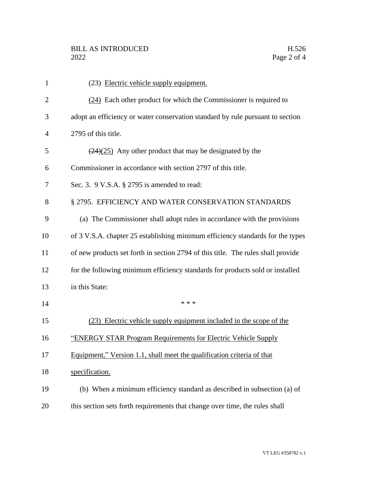| $\mathbf{1}$   | (23) Electric vehicle supply equipment.                                          |
|----------------|----------------------------------------------------------------------------------|
| $\overline{2}$ | (24) Each other product for which the Commissioner is required to                |
| 3              | adopt an efficiency or water conservation standard by rule pursuant to section   |
| $\overline{4}$ | 2795 of this title.                                                              |
| 5              | $(24)(25)$ Any other product that may be designated by the                       |
| 6              | Commissioner in accordance with section 2797 of this title.                      |
| 7              | Sec. 3. 9 V.S.A. § 2795 is amended to read:                                      |
| 8              | § 2795. EFFICIENCY AND WATER CONSERVATION STANDARDS                              |
| 9              | (a) The Commissioner shall adopt rules in accordance with the provisions         |
| 10             | of 3 V.S.A. chapter 25 establishing minimum efficiency standards for the types   |
| 11             | of new products set forth in section 2794 of this title. The rules shall provide |
| 12             | for the following minimum efficiency standards for products sold or installed    |
| 13             | in this State:                                                                   |
| 14             | * * *                                                                            |
| 15             | (23) Electric vehicle supply equipment included in the scope of the              |
| 16             | "ENERGY STAR Program Requirements for Electric Vehicle Supply                    |
| 17             | Equipment," Version 1.1, shall meet the qualification criteria of that           |
| 18             | specification.                                                                   |
| 19             | (b) When a minimum efficiency standard as described in subsection (a) of         |
| 20             | this section sets forth requirements that change over time, the rules shall      |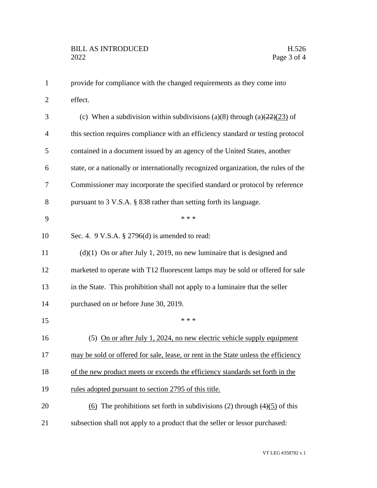| $\mathbf{1}$   | provide for compliance with the changed requirements as they come into                        |
|----------------|-----------------------------------------------------------------------------------------------|
| $\mathbf{2}$   | effect.                                                                                       |
| 3              | (c) When a subdivision within subdivisions (a)(8) through (a) $\left(\frac{22}{23}\right)$ of |
| $\overline{4}$ | this section requires compliance with an efficiency standard or testing protocol              |
| 5              | contained in a document issued by an agency of the United States, another                     |
| 6              | state, or a nationally or internationally recognized organization, the rules of the           |
| 7              | Commissioner may incorporate the specified standard or protocol by reference                  |
| 8              | pursuant to 3 V.S.A. § 838 rather than setting forth its language.                            |
| 9              | * * *                                                                                         |
| 10             | Sec. 4. $9$ V.S.A. § 2796(d) is amended to read:                                              |
| 11             | $(d)(1)$ On or after July 1, 2019, no new luminaire that is designed and                      |
| 12             | marketed to operate with T12 fluorescent lamps may be sold or offered for sale                |
| 13             | in the State. This prohibition shall not apply to a luminaire that the seller                 |
| 14             | purchased on or before June 30, 2019.                                                         |
| 15             | * * *                                                                                         |
| 16             | (5) On or after July 1, 2024, no new electric vehicle supply equipment                        |
| 17             | may be sold or offered for sale, lease, or rent in the State unless the efficiency            |
| 18             | of the new product meets or exceeds the efficiency standards set forth in the                 |
| 19             | rules adopted pursuant to section 2795 of this title.                                         |
| 20             | (6) The prohibitions set forth in subdivisions (2) through $(4)(5)$ of this                   |
| 21             | subsection shall not apply to a product that the seller or lessor purchased:                  |